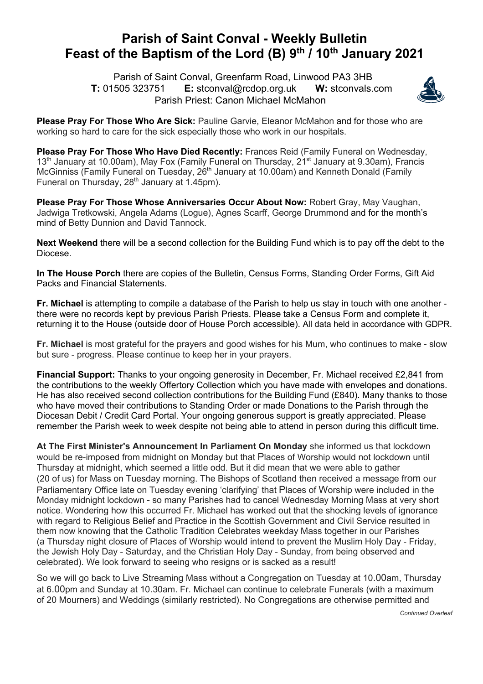## **Parish of Saint Conval - Weekly Bulletin Feast of the Baptism of the Lord (B) 9th / 10th January 2021**

 Parish of Saint Conval, Greenfarm Road, Linwood PA3 3HB **T:** 01505 323751 **E:** stconval@rcdop.org.uk **W:** stconvals.com Parish Priest: Canon Michael McMahon



**Please Pray For Those Who Are Sick:** Pauline Garvie, Eleanor McMahon and for those who are working so hard to care for the sick especially those who work in our hospitals.

**Please Pray For Those Who Have Died Recently:** Frances Reid (Family Funeral on Wednesday,  $13<sup>th</sup>$  January at 10.00am), May Fox (Family Funeral on Thursday,  $21<sup>st</sup>$  January at 9.30am), Francis McGinniss (Family Funeral on Tuesday, 26<sup>th</sup> January at 10.00am) and Kenneth Donald (Family Funeral on Thursday,  $28<sup>th</sup>$  January at 1.45pm).

**Please Pray For Those Whose Anniversaries Occur About Now:** Robert Gray, May Vaughan, Jadwiga Tretkowski, Angela Adams (Logue), Agnes Scarff, George Drummond and for the month's mind of Betty Dunnion and David Tannock.

**Next Weekend** there will be a second collection for the Building Fund which is to pay off the debt to the Diocese.

**In The House Porch** there are copies of the Bulletin, Census Forms, Standing Order Forms, Gift Aid Packs and Financial Statements.

**Fr. Michael** is attempting to compile a database of the Parish to help us stay in touch with one another there were no records kept by previous Parish Priests. Please take a Census Form and complete it, returning it to the House (outside door of House Porch accessible). All data held in accordance with GDPR.

**Fr. Michael** is most grateful for the prayers and good wishes for his Mum, who continues to make - slow but sure - progress. Please continue to keep her in your prayers.

**Financial Support:** Thanks to your ongoing generosity in December, Fr. Michael received £2,841 from the contributions to the weekly Offertory Collection which you have made with envelopes and donations. He has also received second collection contributions for the Building Fund (£840). Many thanks to those who have moved their contributions to Standing Order or made Donations to the Parish through the Diocesan Debit / Credit Card Portal. Your ongoing generous support is greatly appreciated. Please remember the Parish week to week despite not being able to attend in person during this difficult time.

**At The First Minister's Announcement In Parliament On Monday** she informed us that lockdown would be re-imposed from midnight on Monday but that Places of Worship would not lockdown until Thursday at midnight, which seemed a little odd. But it did mean that we were able to gather (20 of us) for Mass on Tuesday morning. The Bishops of Scotland then received a message from our Parliamentary Office late on Tuesday evening 'clarifying' that Places of Worship were included in the Monday midnight lockdown - so many Parishes had to cancel Wednesday Morning Mass at very short notice. Wondering how this occurred Fr. Michael has worked out that the shocking levels of ignorance with regard to Religious Belief and Practice in the Scottish Government and Civil Service resulted in them now knowing that the Catholic Tradition Celebrates weekday Mass together in our Parishes (a Thursday night closure of Places of Worship would intend to prevent the Muslim Holy Day - Friday, the Jewish Holy Day - Saturday, and the Christian Holy Day - Sunday, from being observed and celebrated). We look forward to seeing who resigns or is sacked as a result!

So we will go back to Live Streaming Mass without a Congregation on Tuesday at 10.00am, Thursday at 6.00pm and Sunday at 10.30am. Fr. Michael can continue to celebrate Funerals (with a maximum of 20 Mourners) and Weddings (similarly restricted). No Congregations are otherwise permitted and